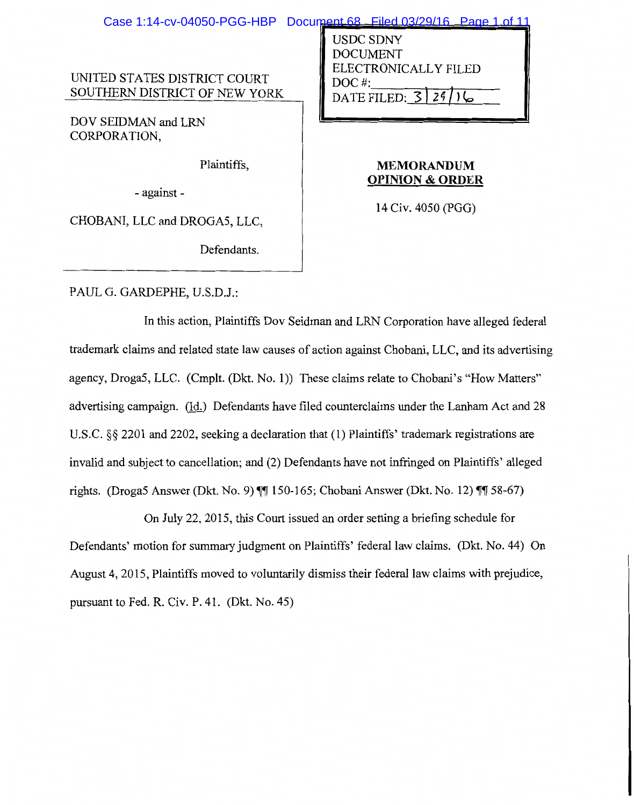|                                                               | Case 1:14-cv-04050-PGG-HBP Document 68 Filed 03/29/16 Page 1 of 11                            |
|---------------------------------------------------------------|-----------------------------------------------------------------------------------------------|
| UNITED STATES DISTRICT COURT<br>SOUTHERN DISTRICT OF NEW YORK | <b>USDC SDNY</b><br><b>DOCUMENT</b><br>ELECTRONICALLY FILED<br>$DOC$ #:<br>DATE FILED: 3   29 |
| DOV SEIDMAN and LRN                                           |                                                                                               |
| CORPORATION,                                                  |                                                                                               |
| Plaintiffs,<br>- against -                                    | <b>MEMORANDUM</b><br><b>OPINION &amp; ORDER</b>                                               |
|                                                               | 14 Civ. 4050 (PGG)                                                                            |
|                                                               |                                                                                               |

PAUL G. GARDEPHE, U.S.D.J.:

CHOBANI, LLC and DROGA5, LLC,

Defendants.

In this action, Plaintiffs Dov Seidman and LRN Corporation have alleged federal trademark claims and related state law causes of action against Chobani, LLC, and its advertising agency, Droga5, LLC. (Cmplt. (Dkt. No. 1)) These claims relate to Chobani's "How Matters" advertising campaign. (Id.) Defendants have filed counterclaims under the Lanham Act and 28 U.S.C. §§ 2201 and 2202, seeking a declaration that (1) Plaintiffs' trademark registrations are invalid and subject to cancellation; and (2) Defendants have not infringed on Plaintiffs' alleged rights. (Droga5 Answer (Dkt. No. 9)  $\P$  150-165; Chobani Answer (Dkt. No. 12)  $\P$  58-67)

On July 22, 2015, this Court issued an order setting a briefing schedule for Defendants' motion for summary judgment on Plaintiffs' federal law claims. (Dkt. No. 44) On August 4, 2015, Plaintiffs moved to voluntarily dismiss their federal law claims with prejudice, pursuant to Fed. R. Civ. P. 41. (Dkt. No. 45)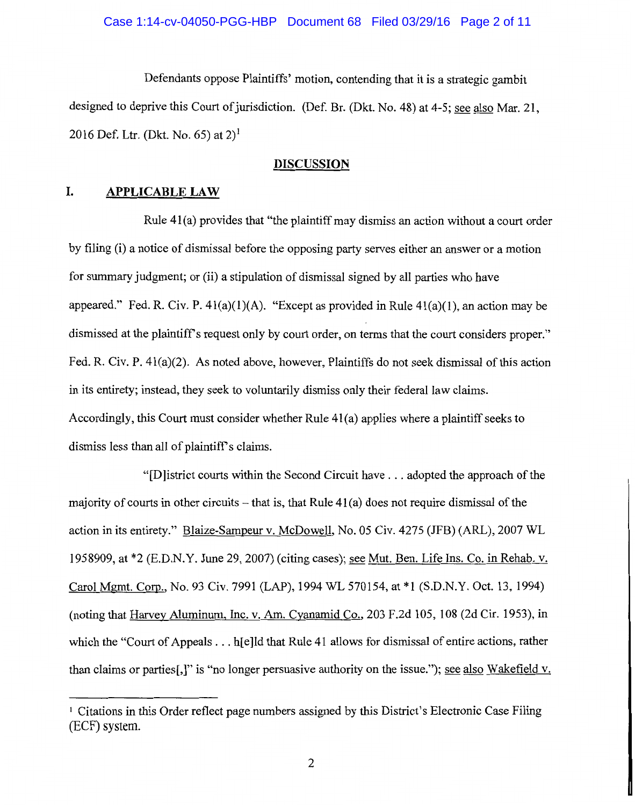#### Case 1:14-cv-04050-PGG-HBP Document 68 Filed 03/29/16 Page 2 of 11

Defendants oppose Plaintiffs' motion, contending that it is a strategic gambit designed to deprive this Court of jurisdiction. (Def. Br. (Dkt. No. 48) at 4-5; see also Mar. 21, 2016 Def. Ltr. (Dkt. No. 65) at  $2)^1$ 

#### **DISCUSSION**

#### **I. APPLICABLE LAW**

Rule 41(a) provides that "the plaintiff may dismiss an action without a court order by filing (i) a notice of dismissal before the opposing party serves either an answer or a motion for summary judgment; or (ii) a stipulation of dismissal signed by all parties who have appeared." Fed. R. Civ. P.  $41(a)(1)(A)$ . "Except as provided in Rule  $41(a)(1)$ , an action may be dismissed at the plaintiff's request only by court order, on terms that the court considers proper." Fed. R. Civ. P. 41(a)(2). As noted above, however, Plaintiffs do not seek dismissal of this action in its entirety; instead, they seek to voluntarily dismiss only their federal law claims. Accordingly, this Court must consider whether Rule 41(a) applies where a plaintiff seeks to dismiss less than all of plaintiff's claims.

"[D]istrict courts within the Second Circuit have ... adopted the approach of the majority of courts in other circuits  $-$  that is, that Rule 41(a) does not require dismissal of the action in its entirety." Blaize-Sampeur v. McDowell, No. 05 Civ. 4275 (JFB) (ARL), 2007 WL 1958909, at  $*2$  (E.D.N.Y. June 29, 2007) (citing cases); see Mut. Ben. Life Ins. Co. in Rehab. v. Carol Mgmt. Com., No. 93 Civ. 7991(LAP),1994 WL 570154, at \*1 (S.D.N.Y. Oct. 13, 1994) (noting that Harvey Aluminum, Inc. v. Am. Cyanamid Co., 203 F.2d 105, 108 (2d Cir. 1953), in which the "Court of Appeals . . . h[e]ld that Rule 41 allows for dismissal of entire actions, rather than claims or parties[,]" is "no longer persuasive authority on the issue."); see also Wakefield v.

<sup>1</sup> Citations in this Order reflect page numbers assigned by this District's Electronic Case Filing (ECF) system.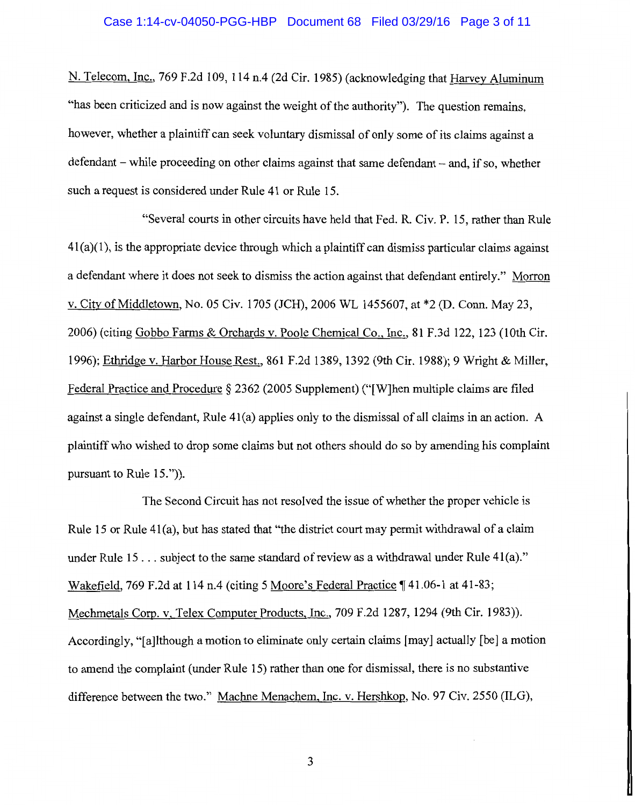# Case 1:14-cv-04050-PGG-HBP Document 68 Filed 03/29/16 Page 3 of 11

N. Telecom, Inc., 769 F.2d 109, 114 n.4 (2d Cir. 1985) (acknowledging that Harvey Aluminum "has been criticized and is now against the weight of the authority"). The question remains, however, whether a plaintiff can seek voluntary dismissal of only some of its claims against a defendant – while proceeding on other claims against that same defendant – and, if so, whether such a request is considered under Rule 41 or Rule 15.

"Several courts in other circuits have held that Fed. R. Civ. P. 15, rather than Rule  $41(a)(1)$ , is the appropriate device through which a plaintiff can dismiss particular claims against a defendant where it does not seek to dismiss the action against that defendant entirely." Morron v. City of Middletown, No. 05 Civ. 1705 (JCH), 2006 WL 1455607, at \*2 (D. Conn. May 23, 2006) (citing Gobbo Farms & Orchards v. Poole Chemical Co., Inc., 81 F.3d 122, 123 (10th Cir. 1996); Ethridge v. Harbor House Rest., 861F.2d1389, 1392 (9th Cir. 1988); 9 Wright & Miller, Federal Practice and Procedure *§* 2362 (2005 Supplement) ("[W]hen multiple claims are filed against a single defendant, Rule 4l(a) applies only to the dismissal of all claims in an action. A plaintiff who wished to drop some claims but not others should do so by amending his complaint pursuant to Rule 15.")).

The Second Circuit has not resolved the issue of whether the proper vehicle is Rule 15 or Rule 41(a), but has stated that "the district court may permit withdrawal of a claim under Rule  $15...$  subject to the same standard of review as a withdrawal under Rule  $41(a).$ " Wakefield, 769 F.2d at 114 n.4 (citing 5 Moore's Federal Practice  $\P$  41.06-1 at 41-83; Mechmetals Coro. v. Telex Computer Products, Inc., 709 F.2d 1287, 1294 (9th Cir. 1983)). Accordingly, "[a]lthough a motion to eliminate only certain claims [may] actually [be] a motion to amend the complaint (under Rule 15) rather than one for dismissal, there is no substantive difference between the two." Machne Menachem, Inc. v. Hershkop, No. 97 Civ. 2550 (ILG),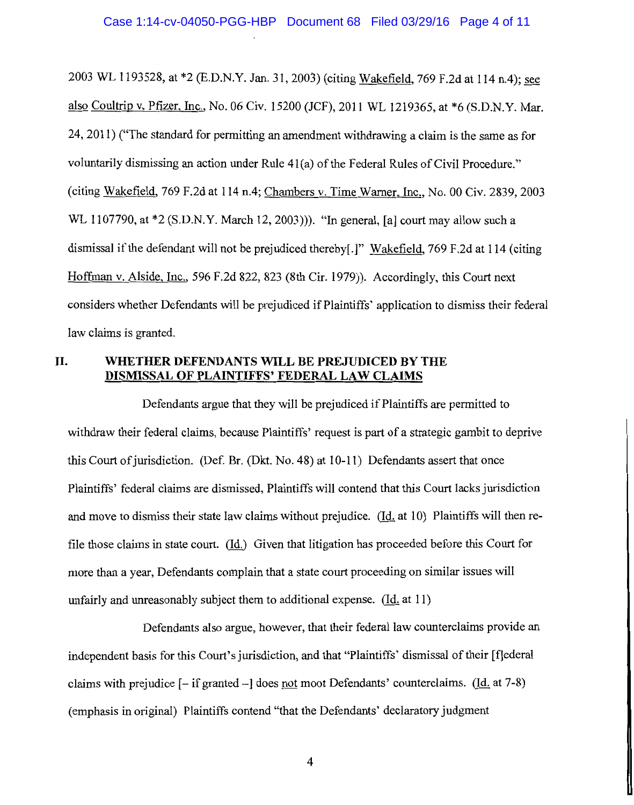2003 WL 1193528, at \*2 (E.D.N.Y. Jan. 31, 2003) (citing Wakefield, 769 F.2d at 114 n.4); see also Coultrip v, Pfizer, Inc., No. 06 Civ. 15200 (JCF), 2011 WL 1219365, at \*6 (S.D.N.Y. Mar. 24, 2011) ("The standard for permitting an amendment withdrawing a claim is the same as for voluntarily dismissing an action under Rule 41(a) of the Federal Rules of Civil Procedure." (citing Wakefield, 769 F.2d at 114 n.4; Chambers v. Time Warner, Inc., No. 00 Civ. 2839, 2003 WL 1107790, at \*2 (S.D.N.Y. March 12, 2003))). "In general, [a] court may allow such a dismissal if the defendant will not be prejudiced thereby[.]" Wakefield, 769 F.2d at 114 (citing Hoffman v. Alside, Inc., 596 F.2d 822, 823 (8th Cir. 1979)). Accordingly, this Court next considers whether Defendants will be prejudiced if Plaintiffs' application to dismiss their federal law claims is granted.

## **II. WHETHER DEFENDANTS WILL BE PREJUDICED BY THE DISMISSAL OF PLAINTIFFS' FEDERAL LAW CLAIMS**

Defendants argue that they will be prejudiced if Plaintiffs are permitted to withdraw their federal claims, because Plaintiffs' request is part of a strategic gambit to deprive this Court of jurisdiction. (Def. Br. (Dkt. No. 48) at 10-11) Defendants assert that once Plaintiffs' federal claims are dismissed, Plaintiffs will contend that this Court lacks jurisdiction and move to dismiss their state law claims without prejudice.  $(Id. at 10)$  Plaintiffs will then refile those claims in state court. (Id.) Given that litigation has proceeded before this Court for more than a year, Defendants complain that a state court proceeding on similar issues will unfairly and unreasonably subject them to additional expense.  $(\underline{Id}$  at 11)

Defendants also argue, however, that their federal law counterclaims provide an independent basis for this Court's jurisdiction, and that "Plaintiffs' dismissal of their [f]ederal claims with prejudice  $[-i\text{f granted} -]$  does not moot Defendants' counterclaims. (Id. at 7-8) (emphasis in original) Plaintiffs contend "that the Defendants' declaratory judgment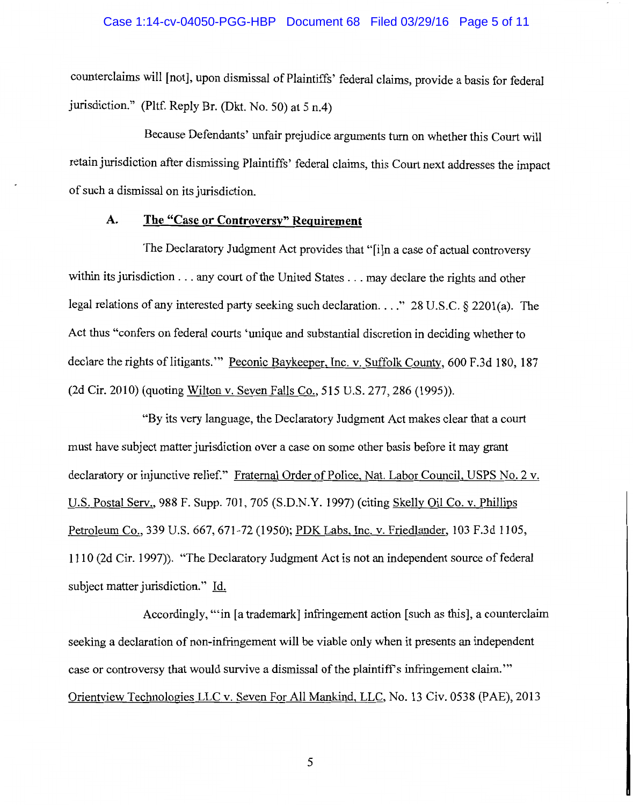#### Case 1:14-cv-04050-PGG-HBP Document 68 Filed 03/29/16 Page 5 of 11

counterclaims will [not], upon dismissal of Plaintiffs' federal claims, provide a basis for federal jurisdiction." (Pltf. Reply Br. (Dkt. No. 50) at 5 n.4)

Because Defendants' unfair prejudice arguments turn on whether this Court will retain jurisdiction after dismissing Plaintiffs' federal claims, this Court next addresses the impact of such a dismissal on its jurisdiction.

# **A. The** "Case **or Controversy" Requirement**

The Declaratory Judgment Act provides that "[i]n a case of actual controversy within its jurisdiction ... any court of the United States ... may declare the rights and other legal relations of any interested party seeking such declaration .... " 28 U.S.C. § 2201(a). The Act thus "confers on federal courts 'unique and substantial discretion in deciding whether to declare the rights of litigants."" Peconic Baykeeper, Inc. v. Suffolk County, 600 F.3d 180, 187 (2d Cir. 2010) (quoting Wilton v. Seven Falls Co., 515 U.S. 277, 286 (1995)).

"By its very language, the Declaratory Judgment Act makes clear that a court must have subject matter jurisdiction over a case on some other basis before it may grant declaratory or injunctive relief." Fraternal Order of Police, Nat. Labor Council, USPS No. 2 v. U.S. Postal Serv., 988 F. Supp. 701, 705 (S.D.N.Y. 1997) (citing Skelly Oil Co. v. Phillips Petroleum Co., 339 U.S. 667, 671-72 (1950); POK Labs, Inc. v. Friedlander, 103 F.3d 1105, 1110 (2d Cir. 1997) ). "The Declaratory Judgment Act is not an independent source of federal subject matter jurisdiction." Id.

Accordingly, '"in [a trademark] infringement action [such as this], a counterclaim seeking a declaration of non-infringement will be viable only when it presents an independent case or controversy that would survive a dismissal of the plaintiff's infringement claim.'" Orientview Technologies LLC v. Seven For All Mankind, LLC, No. 13 Civ. 0538 (PAE), 2013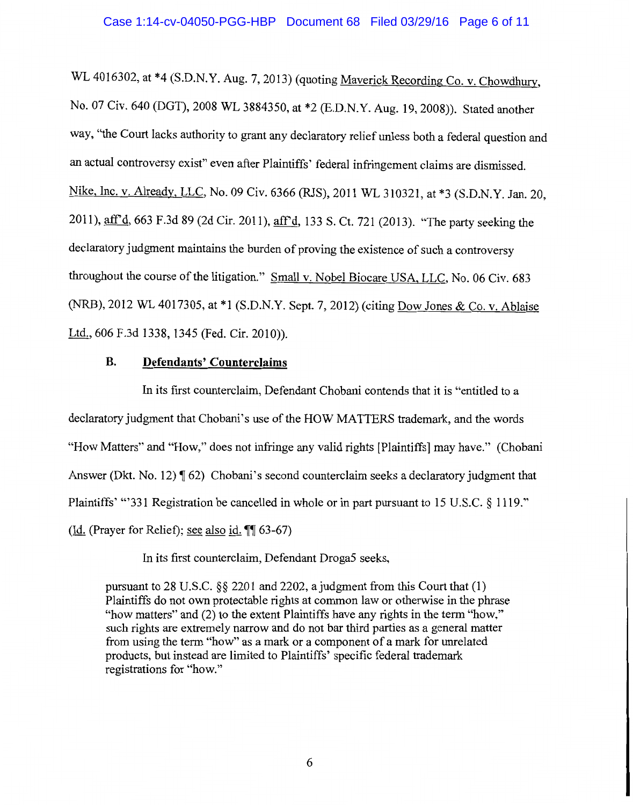WL 4016302, at \*4 (S.D.N.Y. Aug. 7, 2013) (quoting Maverick Recording Co. v. Chowdhury, No. 07 Civ. 640 (DGT), 2008 WL 3884350, at \*2 (E.D.N.Y. Aug. 19, 2008)). Stated another way, "the Court lacks authority to grant any declaratory relief unless both a federal question and an actual controversy exist" even after Plaintiffs' federal infringement claims are dismissed. Nike, Inc. v. Already, LLC, No. 09 Civ. 6366 (RJS), 2011 WL 310321, at \*3 (S.D.N.Y. Jan. 20, 2011), aff'd, 663 F.3d 89 (2d Cir. 2011), aff'd, 133 S. Ct. 721 (2013). "The party seeking the declaratory judgment maintains the burden of proving the existence of such a controversy throughout the course of the litigation." Small v. Nobel Biocare USA, LLC, No. 06 Civ. 683 (NRB), 2012 WL 4017305, at \*1 (S.D.N.Y. Sept. 7, 2012) (citing Dow Jones & Co. v. Ablaise Ltd., 606 F.3d 1338, 1345 (Fed. Cir. 2010)).

## **B. Defendants' Counterclaims**

In its first counterclaim, Defendant Chobani contends that it is "entitled to a declaratory judgment that Chobani's use of the HOW MATTERS trademark, and the words "How Matters" and "How," does not infringe any valid rights [Plaintiffs] may have." (Chobani Answer (Dkt. No. 12)  $\P(62)$  Chobani's second counterclaim seeks a declaratory judgment that Plaintiffs' "'331 Registration be cancelled in whole or in part pursuant to 15 U.S.C. § 1119." (Id. (Prayer for Relief); see also id.  $\P$  63-67)

In its first counterclaim, Defendant Droga5 seeks,

pursuant to 28 U.S.C. §§ 2201 and 2202, a judgment from this Court that (1) Plaintiffs do not own protectable rights at common law or otherwise in the phrase "how matters" and (2) to the extent Plaintiffs have any rights in the term "how," such rights are extremely narrow and do not bar third parties as a general matter from using the term "how" as a mark or a component of a mark for unrelated products, but instead are limited to Plaintiffs' specific federal trademark registrations for "how."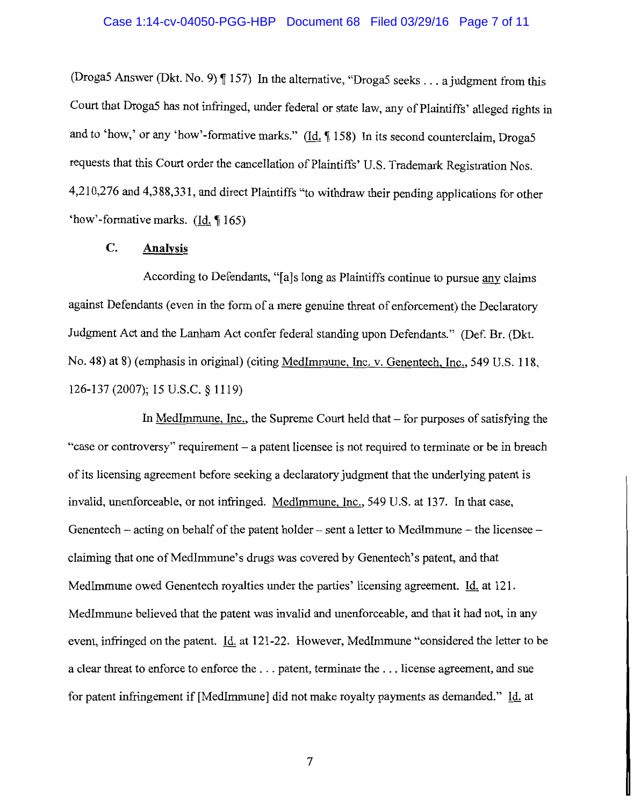## Case 1:14-cv-04050-PGG-HBP Document 68 Filed 03/29/16 Page 7 of 11

(Droga5 Answer (Dkt. No. 9)  $\P$  157) In the alternative, "Droga5 seeks ... a judgment from this Court that Droga5 has not infringed, under federal or state law, any of Plaintiffs' alleged rights in and to 'how,' or any 'how'-formative marks." ( $\underline{Id}$ ,  $\P$  158) In its second counterclaim, Droga5 requests that this Court order the cancellation of Plaintiffs' U.S. Trademark Registration Nos. 4,210,276 and 4,388,331, and direct Plaintiffs "to withdraw their pending applications for other 'how'-formative marks. (Id.~ 165)

# **C. Analysis**

According to Defendants, "[a]s long as Plaintiffs continue to pursue any claims against Defendants (even in the form of a mere genuine threat of enforcement) the Declaratory Judgment Act and the Lanham Act confer federal standing upon Defendants." (Def. Br. (Dkt. No. 48) at 8) (emphasis in original) (citing Medimmune, Inc. v. Genentech, Inc., 549 U.S. 118, 126-137 (2007); 15 u.s.c. § 1119)

In MedImmune, Inc., the Supreme Court held that  $-$  for purposes of satisfying the "case or controversy" requirement - a patent licensee is not required to terminate or be in breach of its licensing agreement before seeking a declaratory judgment that the underlying patent is invalid, unenforceable, or not infringed. Medimmune, Inc., 549 U.S. at 137. In that case, Genentech – acting on behalf of the patent holder – sent a letter to MedImmune – the licensee – claiming that one of MedImmune's drugs was covered by Genentech's patent, and that Medlmmune owed Genentech royalties under the parties' licensing agreement. Id. at 121. Medlmmune believed that the patent was invalid and unenforceable, and that it had not, in any event, infringed on the patent. Id. at 121-22. However, Medlmmune "considered the letter to be a clear threat to enforce to enforce the ... patent, terminate the ... license agreement, and sue for patent infringement if [Medlmmune] did not make royalty payments as demanded." Id. at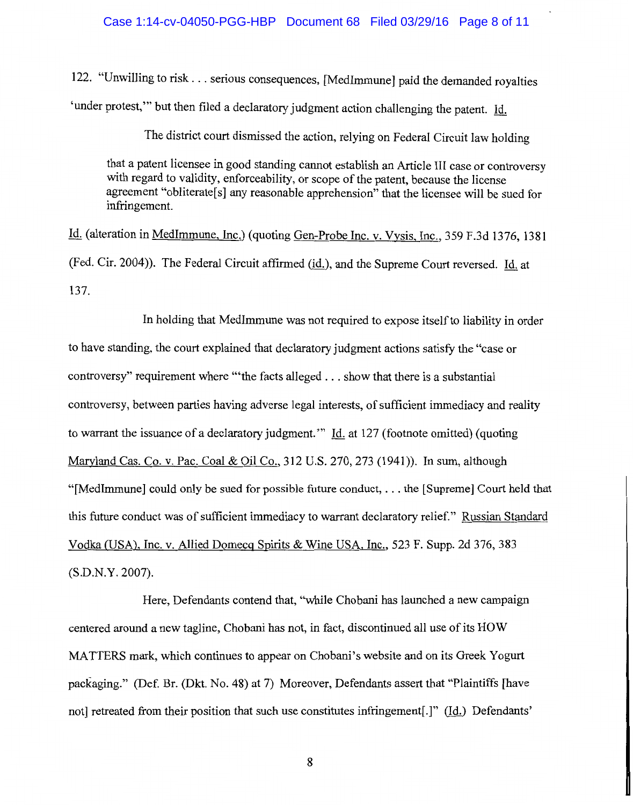#### Case 1:14-cv-04050-PGG-HBP Document 68 Filed 03/29/16 Page 8 of 11

122. "Unwilling to risk ... serious consequences, [Medlmmune] paid the demanded royalties 'under protest," but then filed a declaratory judgment action challenging the patent. Id.

The district court dismissed the action, relying on Federal Circuit law holding

that a patent licensee in good standing cannot establish an Article III case or controversy with regard to validity, enforceability, or scope of the patent, because the license agreement "obliterate[s] any reasonable apprehension" that the licensee will be sued for infringement.

Id. (alteration in Medimmune, Inc.) (quoting Gen-Probe Inc. v. Vysis, Inc., 359 F.3d 1376, 1381 (Fed. Cir. 2004)). The Federal Circuit affirmed (id.), and the Supreme Court reversed. Id. at 137.

In holding that Medimmune was not required to expose itself to liability in order to have standing, the court explained that declaratory judgment actions satisfy the "case or controversy" requirement where "'the facts alleged ... show that there is a substantial controversy, between parties having adverse legal interests, of sufficient immediacy and reality to warrant the issuance of a declaratory judgment.'" Id. at 127 (footnote omitted) (quoting Maryland Cas. Co. v. Pac. Coal & Oil Co., 312 U.S. 270, 273 (1941)). In sum, although "[Medlmmune] could only be sued for possible future conduct, ... the [Supreme] Court held that this future conduct was of sufficient immediacy to warrant declaratory relief." Russian Standard Vodka (USA), Inc. v. Allied Domecg Spirits & Wine USA, Inc., 523 F. Supp. 2d 376, 383 (S.D.N.Y. 2007).

Here, Defendants contend that, "while Chobani has launched a new campaign centered around a new tagline, Cho bani has not, in fact, discontinued all use of its HOW MATTERS mark, which continues to appear on Chobani's website and on its Greek Yogurt packaging." (Def. Br. (Dkt. No. 48) at 7) Moreover, Defendants assert that "Plaintiffs [have not] retreated from their position that such use constitutes infringement[.]" (Id.) Defendants'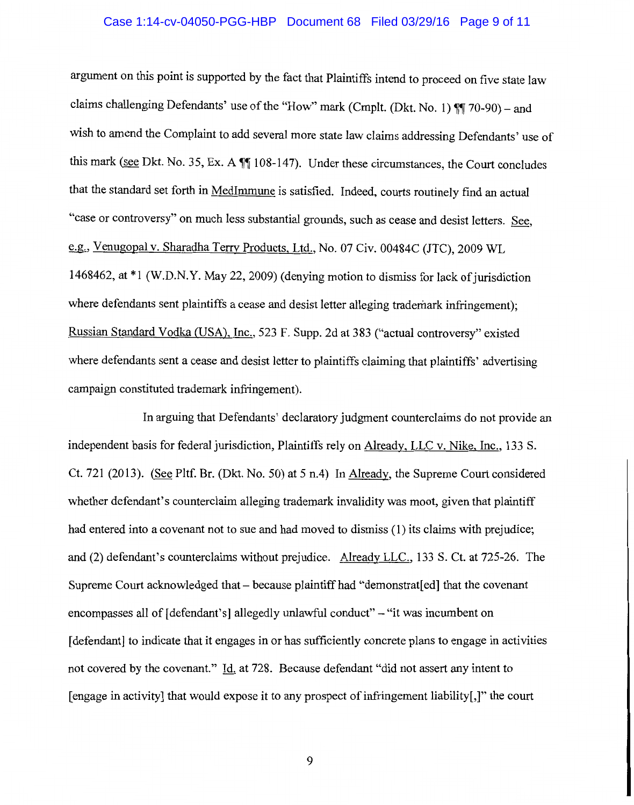## Case 1:14-cv-04050-PGG-HBP Document 68 Filed 03/29/16 Page 9 of 11

argument on this point is supported by the fact that Plaintiffs intend to proceed on five state law claims challenging Defendants' use of the "How" mark (Cmplt. (Dkt. No. 1)  $\P$  $70-90$ ) - and wish to amend the Complaint to add several more state law claims addressing Defendants' use of this mark (see Dkt. No. 35, Ex. A  $\P$  108-147). Under these circumstances, the Court concludes that the standard set forth in Medimmune is satisfied. Indeed, courts routinely find an actual "case or controversy" on much less substantial grounds, such as cease and desist letters. See, e.g., Venugopal v. Sharadha Terry Products, Ltd., No. 07 Civ. 00484C (JTC), 2009 WL 1468462, at \*I (W.D.N.Y. May 22, 2009) (denying motion to dismiss for lack of jurisdiction where defendants sent plaintiffs a cease and desist letter alleging trademark infringement); Russian Standard Vodka (USA), Inc., 523 F. Supp. 2d at 383 ("actual controversy" existed where defendants sent a cease and desist letter to plaintiffs claiming that plaintiffs' advertising campaign constituted trademark infringement).

In arguing that Defendants' declaratory judgment counterclaims do not provide an independent basis for federal jurisdiction, Plaintiffs rely on Already, LLC v. Nike, Inc., 133 S. Ct. 721 (2013). (See Pltf. Br. (Dkt. No. 50) at 5 n.4) In Already, the Supreme Court considered whether defendant's counterclaim alleging trademark invalidity was moot, given that plaintiff had entered into a covenant not to sue and had moved to dismiss (1) its claims with prejudice; and (2) defendant's counterclaims without prejudice. Already LLC., 133 S. Ct. at 725-26. The Supreme Court acknowledged that – because plaintiff had "demonstrat[ed] that the covenant encompasses all of [defendant's] allegedly unlawful conduct" – "it was incumbent on [defendant] to indicate that it engages in or has sufficiently concrete plans to engage in activities not covered by the covenant." Id. at 728. Because defendant "did not assert any intent to [engage in activity] that would expose it to any prospect of infringement liability[,]" the court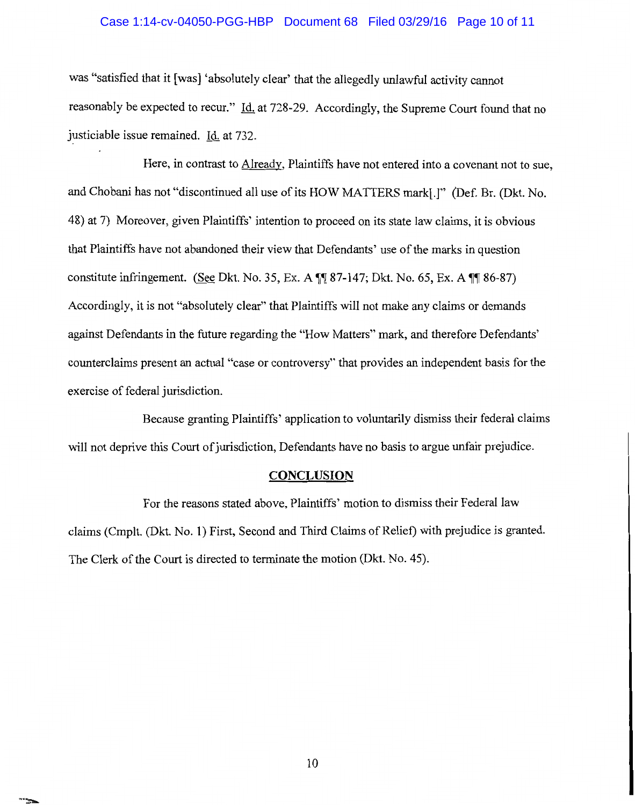#### Case 1:14-cv-04050-PGG-HBP Document 68 Filed 03/29/16 Page 10 of 11

was "satisfied that it [was] 'absolutely clear' that the allegedly unlawful activity cannot reasonably be expected to recur." Id. at 728-29. Accordingly, the Supreme Court found that no justiciable issue remained. Id. at 732.

Here, in contrast to Already, Plaintiffs have not entered into a covenant not to sue, and Chobani has not "discontinued all use of its HOW MATTERS mark[.]" (Def. Br. (Dkt. No. 48) at 7) Moreover, given Plaintiffs' intention to proceed on its state law claims, it is obvious that Plaintiffs have not abandoned their view that Defendants' use of the marks in question constitute infringement. (See Dkt. No. 35, Ex. A  $\P$  $\uparrow$  87-147; Dkt. No. 65, Ex. A  $\P$  $\uparrow$  86-87) Accordingly, it is not "absolutely clear'' that Plaintiffs will not make any claims or demands against Defendants in the future regarding the "How Matters" mark, and therefore Defendants' counterclaims present an actual "case or controversy" that provides an independent basis for the exercise of federal jurisdiction.

Because granting Plaintiffs' application to voluntarily dismiss their federal claims will not deprive this Court of jurisdiction, Defendants have no basis to argue unfair prejudice.

## **CONCLUSION**

For the reasons stated above, Plaintiffs' motion to dismiss their Federal law claims (Cmplt. (Dkt. No. **1)** First, Second and Third Claims of Relief) with prejudice is granted. The Clerk of the Court is directed to terminate the motion (Dkt. No. 45).

۰.,